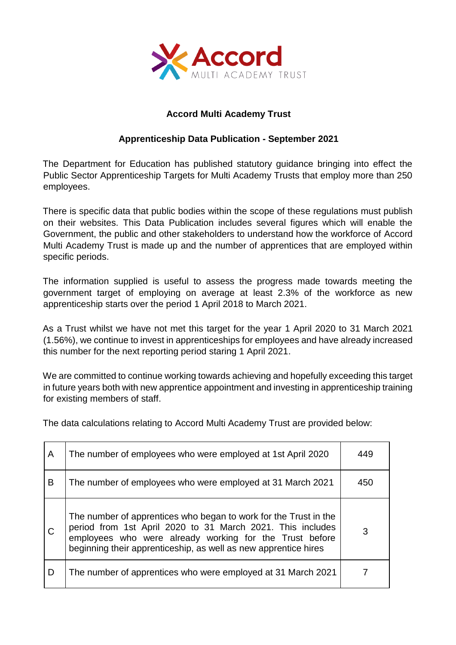

## **Accord Multi Academy Trust**

## **Apprenticeship Data Publication - September 2021**

The Department for Education has published statutory guidance bringing into effect the Public Sector Apprenticeship Targets for Multi Academy Trusts that employ more than 250 employees.

There is specific data that public bodies within the scope of these regulations must publish on their websites. This Data Publication includes several figures which will enable the Government, the public and other stakeholders to understand how the workforce of Accord Multi Academy Trust is made up and the number of apprentices that are employed within specific periods.

The information supplied is useful to assess the progress made towards meeting the government target of employing on average at least 2.3% of the workforce as new apprenticeship starts over the period 1 April 2018 to March 2021.

As a Trust whilst we have not met this target for the year 1 April 2020 to 31 March 2021 (1.56%), we continue to invest in apprenticeships for employees and have already increased this number for the next reporting period staring 1 April 2021.

We are committed to continue working towards achieving and hopefully exceeding this target in future years both with new apprentice appointment and investing in apprenticeship training for existing members of staff.

The data calculations relating to Accord Multi Academy Trust are provided below:

| A | The number of employees who were employed at 1st April 2020                                                                                                                                                                                                  | 449 |
|---|--------------------------------------------------------------------------------------------------------------------------------------------------------------------------------------------------------------------------------------------------------------|-----|
| B | The number of employees who were employed at 31 March 2021                                                                                                                                                                                                   | 450 |
| C | The number of apprentices who began to work for the Trust in the<br>period from 1st April 2020 to 31 March 2021. This includes<br>employees who were already working for the Trust before<br>beginning their apprenticeship, as well as new apprentice hires | 3   |
| D | The number of apprentices who were employed at 31 March 2021                                                                                                                                                                                                 |     |